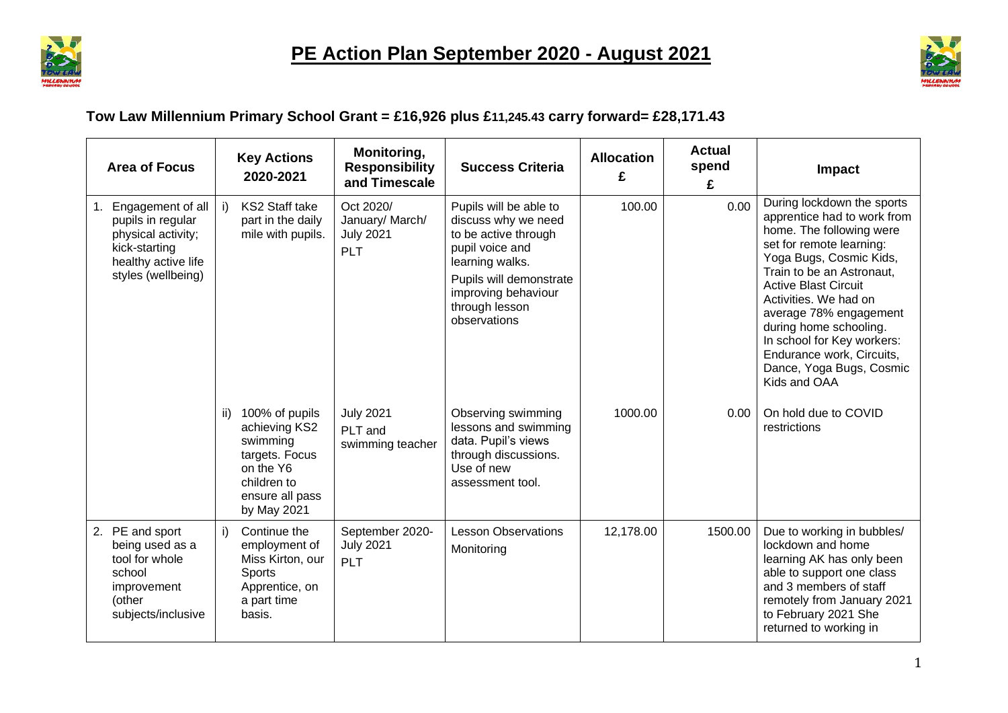



## **Tow Law Millennium Primary School Grant = £16,926 plus £11,245.43 carry forward= £28,171.43**

|    | <b>Area of Focus</b>                                                                                                       |     | <b>Key Actions</b><br>2020-2021                                                                                             | Monitoring,<br><b>Responsibility</b><br>and Timescale          | <b>Success Criteria</b>                                                                                                                                                                         | <b>Allocation</b><br>£ | <b>Actual</b><br>spend<br>£ | Impact                                                                                                                                                                                                                                                                                                                                                                                       |
|----|----------------------------------------------------------------------------------------------------------------------------|-----|-----------------------------------------------------------------------------------------------------------------------------|----------------------------------------------------------------|-------------------------------------------------------------------------------------------------------------------------------------------------------------------------------------------------|------------------------|-----------------------------|----------------------------------------------------------------------------------------------------------------------------------------------------------------------------------------------------------------------------------------------------------------------------------------------------------------------------------------------------------------------------------------------|
| 1. | Engagement of all<br>pupils in regular<br>physical activity;<br>kick-starting<br>healthy active life<br>styles (wellbeing) | i)  | KS2 Staff take<br>part in the daily<br>mile with pupils.                                                                    | Oct 2020/<br>January/ March/<br><b>July 2021</b><br><b>PLT</b> | Pupils will be able to<br>discuss why we need<br>to be active through<br>pupil voice and<br>learning walks.<br>Pupils will demonstrate<br>improving behaviour<br>through lesson<br>observations | 100.00                 | 0.00                        | During lockdown the sports<br>apprentice had to work from<br>home. The following were<br>set for remote learning:<br>Yoga Bugs, Cosmic Kids,<br>Train to be an Astronaut,<br><b>Active Blast Circuit</b><br>Activities. We had on<br>average 78% engagement<br>during home schooling.<br>In school for Key workers:<br>Endurance work, Circuits,<br>Dance, Yoga Bugs, Cosmic<br>Kids and OAA |
|    |                                                                                                                            | ii) | 100% of pupils<br>achieving KS2<br>swimming<br>targets. Focus<br>on the Y6<br>children to<br>ensure all pass<br>by May 2021 | <b>July 2021</b><br>PLT and<br>swimming teacher                | Observing swimming<br>lessons and swimming<br>data. Pupil's views<br>through discussions.<br>Use of new<br>assessment tool.                                                                     | 1000.00                | 0.00                        | On hold due to COVID<br>restrictions                                                                                                                                                                                                                                                                                                                                                         |
| 2. | PE and sport<br>being used as a<br>tool for whole<br>school<br>improvement<br>(other<br>subjects/inclusive                 | i)  | Continue the<br>employment of<br>Miss Kirton, our<br>Sports<br>Apprentice, on<br>a part time<br>basis.                      | September 2020-<br><b>July 2021</b><br><b>PLT</b>              | <b>Lesson Observations</b><br>Monitoring                                                                                                                                                        | 12,178.00              | 1500.00                     | Due to working in bubbles/<br>lockdown and home<br>learning AK has only been<br>able to support one class<br>and 3 members of staff<br>remotely from January 2021<br>to February 2021 She<br>returned to working in                                                                                                                                                                          |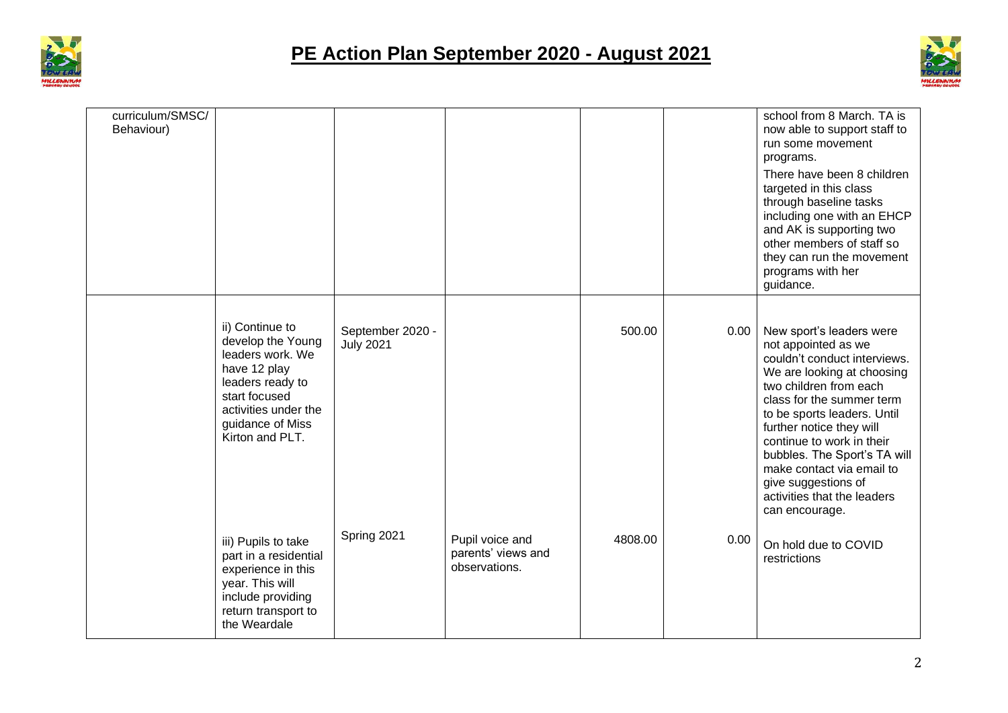



| curriculum/SMSC/<br>Behaviour) |                                                                                                                                                                              |                                      |                                                        |         |      | school from 8 March. TA is<br>now able to support staff to<br>run some movement<br>programs.<br>There have been 8 children<br>targeted in this class<br>through baseline tasks<br>including one with an EHCP<br>and AK is supporting two<br>other members of staff so<br>they can run the movement<br>programs with her<br>guidance.                                                              |
|--------------------------------|------------------------------------------------------------------------------------------------------------------------------------------------------------------------------|--------------------------------------|--------------------------------------------------------|---------|------|---------------------------------------------------------------------------------------------------------------------------------------------------------------------------------------------------------------------------------------------------------------------------------------------------------------------------------------------------------------------------------------------------|
|                                | ii) Continue to<br>develop the Young<br>leaders work. We<br>have 12 play<br>leaders ready to<br>start focused<br>activities under the<br>guidance of Miss<br>Kirton and PLT. | September 2020 -<br><b>July 2021</b> |                                                        | 500.00  | 0.00 | New sport's leaders were<br>not appointed as we<br>couldn't conduct interviews.<br>We are looking at choosing<br>two children from each<br>class for the summer term<br>to be sports leaders. Until<br>further notice they will<br>continue to work in their<br>bubbles. The Sport's TA will<br>make contact via email to<br>give suggestions of<br>activities that the leaders<br>can encourage. |
|                                | iii) Pupils to take<br>part in a residential<br>experience in this<br>year. This will<br>include providing<br>return transport to<br>the Weardale                            | Spring 2021                          | Pupil voice and<br>parents' views and<br>observations. | 4808.00 | 0.00 | On hold due to COVID<br>restrictions                                                                                                                                                                                                                                                                                                                                                              |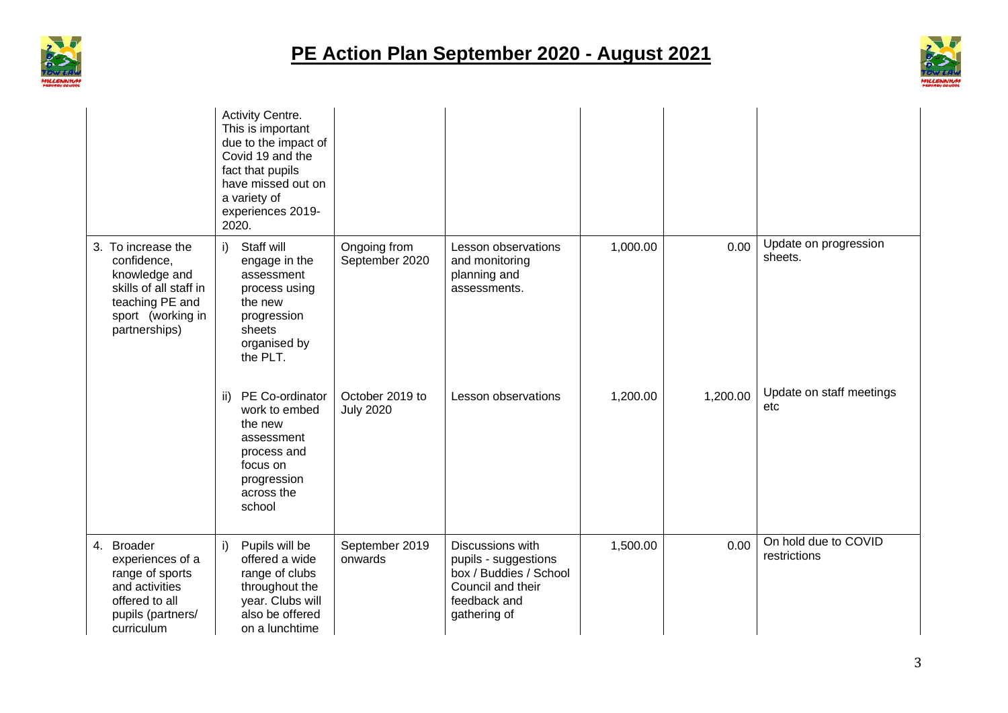



|                                                                                                                                       |     | Activity Centre.<br>This is important<br>due to the impact of<br>Covid 19 and the<br>fact that pupils<br>have missed out on<br>a variety of<br>experiences 2019-<br>2020. |                                     |                                                                                                                         |          |          |                                      |
|---------------------------------------------------------------------------------------------------------------------------------------|-----|---------------------------------------------------------------------------------------------------------------------------------------------------------------------------|-------------------------------------|-------------------------------------------------------------------------------------------------------------------------|----------|----------|--------------------------------------|
| 3. To increase the<br>confidence,<br>knowledge and<br>skills of all staff in<br>teaching PE and<br>sport (working in<br>partnerships) | i)  | Staff will<br>engage in the<br>assessment<br>process using<br>the new<br>progression<br>sheets<br>organised by<br>the PLT.                                                | Ongoing from<br>September 2020      | Lesson observations<br>and monitoring<br>planning and<br>assessments.                                                   | 1,000.00 | 0.00     | Update on progression<br>sheets.     |
|                                                                                                                                       | ii) | PE Co-ordinator<br>work to embed<br>the new<br>assessment<br>process and<br>focus on<br>progression<br>across the<br>school                                               | October 2019 to<br><b>July 2020</b> | Lesson observations                                                                                                     | 1,200.00 | 1,200.00 | Update on staff meetings<br>etc      |
| 4. Broader<br>experiences of a<br>range of sports<br>and activities<br>offered to all<br>pupils (partners/<br>curriculum              | i)  | Pupils will be<br>offered a wide<br>range of clubs<br>throughout the<br>year. Clubs will<br>also be offered<br>on a lunchtime                                             | September 2019<br>onwards           | Discussions with<br>pupils - suggestions<br>box / Buddies / School<br>Council and their<br>feedback and<br>gathering of | 1,500.00 | 0.00     | On hold due to COVID<br>restrictions |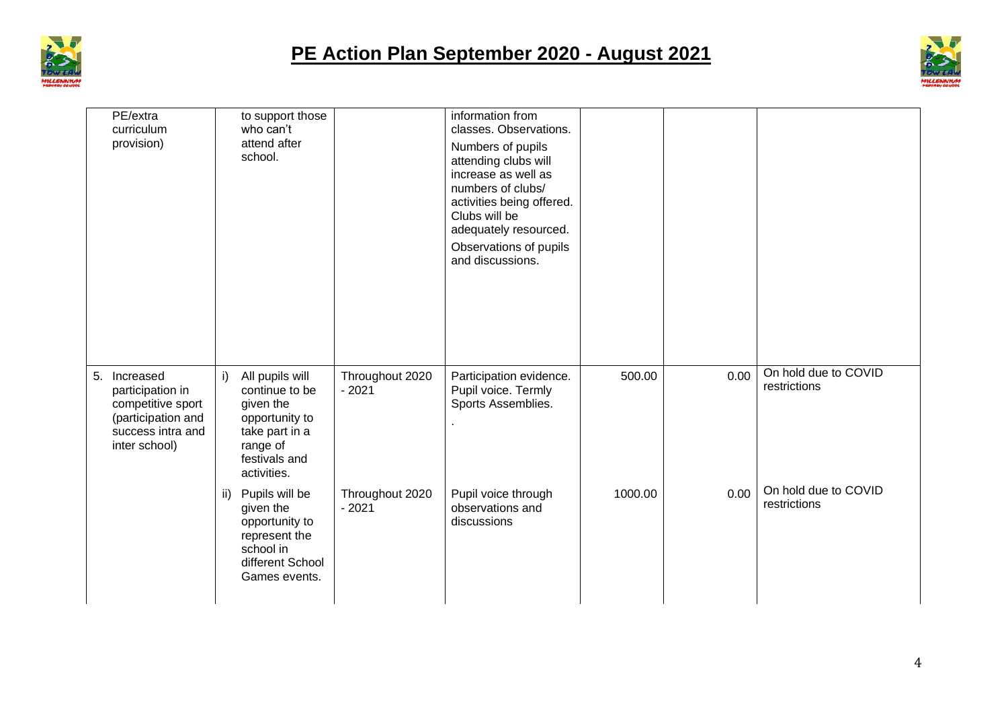



| PE/extra<br>curriculum<br>provision)                                                                                 |     | to support those<br>who can't<br>attend after<br>school.                                                                       |                            | information from<br>classes. Observations.<br>Numbers of pupils<br>attending clubs will<br>increase as well as<br>numbers of clubs/<br>activities being offered.<br>Clubs will be<br>adequately resourced.<br>Observations of pupils<br>and discussions. |         |      |                                      |
|----------------------------------------------------------------------------------------------------------------------|-----|--------------------------------------------------------------------------------------------------------------------------------|----------------------------|----------------------------------------------------------------------------------------------------------------------------------------------------------------------------------------------------------------------------------------------------------|---------|------|--------------------------------------|
| 5.<br>Increased<br>participation in<br>competitive sport<br>(participation and<br>success intra and<br>inter school) | i)  | All pupils will<br>continue to be<br>given the<br>opportunity to<br>take part in a<br>range of<br>festivals and<br>activities. | Throughout 2020<br>$-2021$ | Participation evidence.<br>Pupil voice. Termly<br>Sports Assemblies.                                                                                                                                                                                     | 500.00  | 0.00 | On hold due to COVID<br>restrictions |
|                                                                                                                      | ii) | Pupils will be<br>given the<br>opportunity to<br>represent the<br>school in<br>different School<br>Games events.               | Throughout 2020<br>$-2021$ | Pupil voice through<br>observations and<br>discussions                                                                                                                                                                                                   | 1000.00 | 0.00 | On hold due to COVID<br>restrictions |